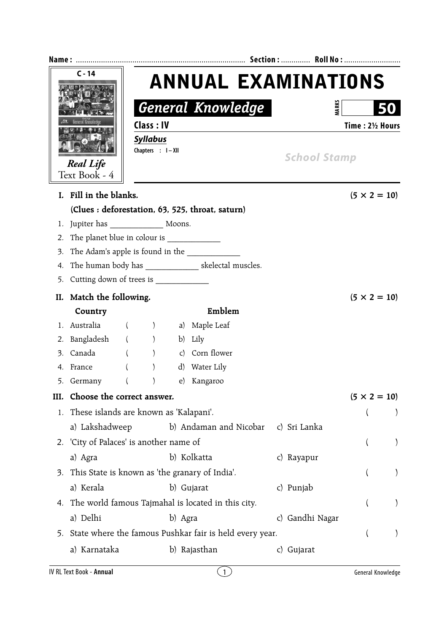| $C - 14$         |                                                    |          |                                                  |                                                            |                                                          |  |                     |  |                     |  |
|------------------|----------------------------------------------------|----------|--------------------------------------------------|------------------------------------------------------------|----------------------------------------------------------|--|---------------------|--|---------------------|--|
|                  |                                                    |          | <b>ANNUAL EXAMINATIONS</b>                       |                                                            |                                                          |  |                     |  |                     |  |
|                  |                                                    |          |                                                  |                                                            | <b>General Knowledge</b>                                 |  | <b>MARK</b>         |  |                     |  |
| <b>Real Life</b> |                                                    |          | Class: IV<br><b>Syllabus</b><br>Chapters : I-XII |                                                            |                                                          |  | Time: 21/2 Hours    |  |                     |  |
|                  |                                                    |          |                                                  |                                                            |                                                          |  | <b>School Stamp</b> |  |                     |  |
|                  | Text Book - 4                                      |          |                                                  |                                                            |                                                          |  |                     |  |                     |  |
|                  | I. Fill in the blanks.                             |          |                                                  |                                                            |                                                          |  |                     |  | $(5 \times 2 = 10)$ |  |
|                  |                                                    |          |                                                  |                                                            | (Clues: deforestation, 63, 525, throat, saturn)          |  |                     |  |                     |  |
| 1.               | Jupiter has Moons.                                 |          |                                                  |                                                            |                                                          |  |                     |  |                     |  |
| 2.               |                                                    |          |                                                  |                                                            |                                                          |  |                     |  |                     |  |
| 3.               | The Adam's apple is found in the                   |          |                                                  |                                                            |                                                          |  |                     |  |                     |  |
| 4.               |                                                    |          |                                                  |                                                            | The human body has __________________ skelectal muscles. |  |                     |  |                     |  |
| 5.               |                                                    |          |                                                  |                                                            |                                                          |  |                     |  |                     |  |
|                  | II. Match the following.                           |          |                                                  |                                                            |                                                          |  |                     |  | $(5 \times 2 = 10)$ |  |
|                  | Country                                            |          |                                                  |                                                            | Emblem                                                   |  |                     |  |                     |  |
|                  | 1. Australia ( ) a) Maple Leaf                     |          |                                                  |                                                            |                                                          |  |                     |  |                     |  |
| 2.               | Bangladesh ()                                      |          |                                                  |                                                            | b) Lily                                                  |  |                     |  |                     |  |
| 3.               | Canada                                             |          | ( )                                              |                                                            | c) Corn flower                                           |  |                     |  |                     |  |
|                  | 4. France ( )                                      |          |                                                  |                                                            | d) Water Lily                                            |  |                     |  |                     |  |
|                  | 5. Germany                                         | $\left($ | $\mathcal{E}$                                    |                                                            | e) Kangaroo                                              |  |                     |  |                     |  |
| III.             | Choose the correct answer.                         |          |                                                  |                                                            |                                                          |  |                     |  | $(5 \times 2 = 10)$ |  |
| 1.               | These islands are known as 'Kalapani'.             |          |                                                  |                                                            |                                                          |  |                     |  |                     |  |
|                  | a) Lakshadweep                                     |          |                                                  |                                                            | b) Andaman and Nicobar                                   |  | c) Sri Lanka        |  |                     |  |
|                  | 2. 'City of Palaces' is another name of            |          |                                                  |                                                            |                                                          |  |                     |  |                     |  |
|                  | a) Agra                                            |          |                                                  | b) Kolkatta                                                |                                                          |  | c) Rayapur          |  |                     |  |
| 3.               |                                                    |          |                                                  | This State is known as 'the granary of India'.             |                                                          |  |                     |  |                     |  |
|                  | a) Kerala                                          |          |                                                  | b) Gujarat                                                 |                                                          |  | c) Punjab           |  |                     |  |
| 4.               | The world famous Tajmahal is located in this city. |          |                                                  |                                                            |                                                          |  |                     |  |                     |  |
|                  | a) Delhi<br>b) Agra<br>c) Gandhi Nagar             |          |                                                  |                                                            |                                                          |  |                     |  |                     |  |
|                  |                                                    |          |                                                  | 5. State where the famous Pushkar fair is held every year. |                                                          |  |                     |  |                     |  |
|                  | a) Karnataka                                       |          |                                                  |                                                            | b) Rajasthan                                             |  | c) Gujarat          |  |                     |  |
|                  |                                                    |          |                                                  |                                                            |                                                          |  |                     |  |                     |  |